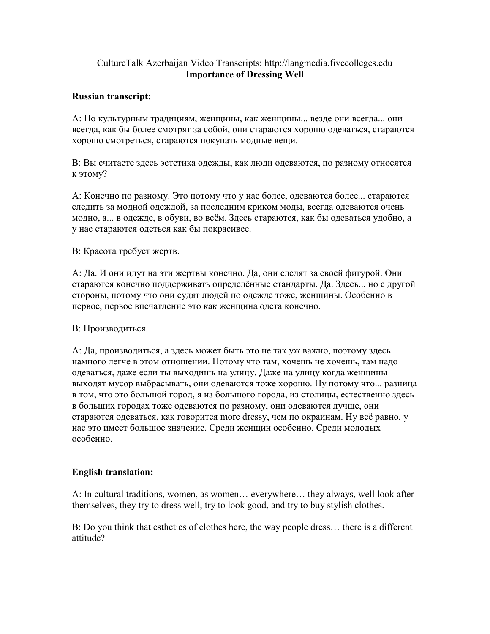## CultureTalk Azerbaijan Video Transcripts: http://langmedia.fivecolleges.edu Importance of Dressing Well

## Russian transcript:

А: По культурным традициям, женщины, как женщины... везде они всегда... они всегда, как бы более смотрят за собой, они стараются хорошо одеваться, стараются хорошо смотреться, стараются покупать модные вещи.

В: Вы считаете здесь эстетика одежды, как люди одеваются, по разному относятся к этому?

А: Конечно по разному. Это потому что у нас более, одеваются более... стараются следить за модной одеждой, за последним криком моды, всегда одеваются очень модно, а... в одежде, в обуви, во всём. Здесь стараются, как бы одеваться удобно, а у нас стараются одеться как бы покрасивее.

В: Красота требует жертв.

А: Да. И они идут на эти жертвы конечно. Да, они следят за своей фигурой. Они стараются конечно поддерживать определённые стандарты. Да. Здесь... но с другой стороны, потому что они судят людей по одежде тоже, женщины. Особенно в первое, первое впечатление это как женщина одета конечно.

## В: Производиться.

А: Да, производиться, а здесь может быть это не так уж важно, поэтому здесь намного легче в этом отношении. Потому что там, хочешь не хочешь, там надо одеваться, даже если ты выходишь на улицу. Даже на улицу когда женщины выходят мусор выбрасывать, они одеваются тоже хорошо. Ну потому что... разница в том, что это большой город, я из большого города, из столицы, естественно здесь в больших городах тоже одеваются по разному, они одеваются лучше, они стараются одеваться, как говорится more dressy, чем по окраинам. Ну всё равно, у нас это имеет большое значение. Среди женщин особенно. Среди молодых особенно.

## English translation:

A: In cultural traditions, women, as women… everywhere… they always, well look after themselves, they try to dress well, try to look good, and try to buy stylish clothes.

B: Do you think that esthetics of clothes here, the way people dress… there is a different attitude?